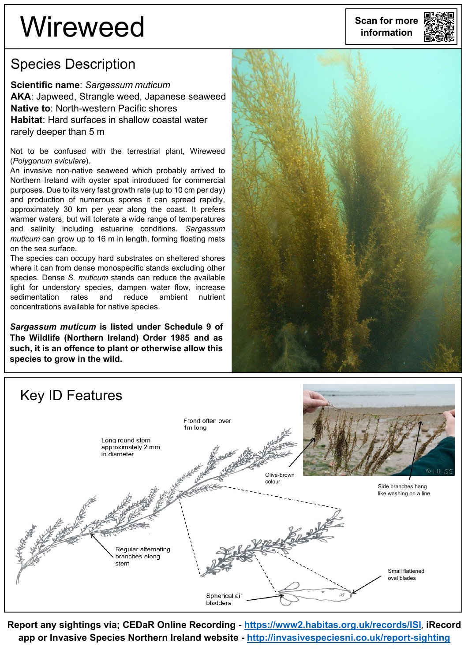# **Wireweed** scan for more

#### Species Description

**Scientific name**: *Sargassum muticum* **AKA**: Japweed, Strangle weed, Japanese seaweed **Native to**: North-western Pacific shores **Habitat**: Hard surfaces in shallow coastal water rarely deeper than 5 m

Not to be confused with the terrestrial plant, Wireweed (*Polygonum aviculare*).

An invasive non-native seaweed which probably arrived to Northern Ireland with oyster spat introduced for commercial purposes. Due to its very fast growth rate (up to 10 cm per day) and production of numerous spores it can spread rapidly, approximately 30 km per year along the coast. It prefers warmer waters, but will tolerate a wide range of temperatures and salinity including estuarine conditions. *Sargassum muticum* can grow up to 16 m in length, forming floating mats on the sea surface.

The species can occupy hard substrates on sheltered shores where it can from dense monospecific stands excluding other species. Dense *S. muticum* stands can reduce the available light for understory species, dampen water flow, increase sedimentation rates and reduce ambient nutrient concentrations available for native species.

*Sargassum muticum* **is listed under Schedule 9 of The Wildlife (Northern Ireland) Order 1985 and as such, it is an offence to plant or otherwise allow this species to grow in the wild.**





**Report any sightings via; CEDaR Online Recording - <https://www2.habitas.org.uk/records/ISI>**, **iRecord app or Invasive Species Northern Ireland website - <http://invasivespeciesni.co.uk/report-sighting>**